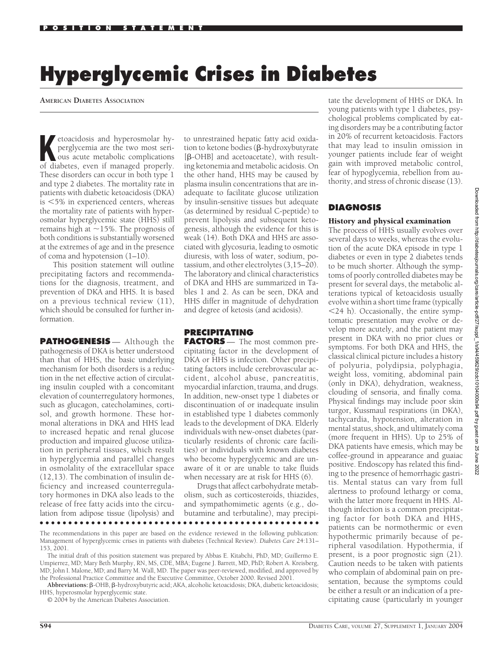# **Hyperglycemic Crises in Diabetes**

**AMERICAN DIABETES ASSOCIATION**

etoacidosis and hyperosmolar hyperglycemia are the two most seri-<br>ous acute metabolic complications<br>of diabetes, even if managed properly. perglycemia are the two most serious acute metabolic complications These disorders can occur in both type 1 and type 2 diabetes. The mortality rate in patients with diabetic ketoacidosis (DKA) is  $<$ 5% in experienced centers, whereas the mortality rate of patients with hyperosmolar hyperglycemic state (HHS) still remains high at  $\sim$ 15%. The prognosis of both conditions is substantially worsened at the extremes of age and in the presence of coma and hypotension (1–10).

This position statement will outline precipitating factors and recommendations for the diagnosis, treatment, and prevention of DKA and HHS. It is based on a previous technical review (11), which should be consulted for further information.

**PATHOGENESIS** — Although the pathogenesis of DKA is better understood than that of HHS, the basic underlying mechanism for both disorders is a reduction in the net effective action of circulating insulin coupled with a concomitant elevation of counterregulatory hormones, such as glucagon, catecholamines, cortisol, and growth hormone. These hormonal alterations in DKA and HHS lead to increased hepatic and renal glucose production and impaired glucose utilization in peripheral tissues, which result in hyperglycemia and parallel changes in osmolality of the extracellular space (12,13). The combination of insulin deficiency and increased counterregulatory hormones in DKA also leads to the release of free fatty acids into the circulation from adipose tissue (lipolysis) and

to unrestrained hepatic fatty acid oxidation to ketone bodies  $(\beta$ -hydroxybutyrate  $[**B**-OH<sup>B</sup>]$  and acetoacetate), with resulting ketonemia and metabolic acidosis. On the other hand, HHS may be caused by plasma insulin concentrations that are inadequate to facilitate glucose utilization by insulin-sensitive tissues but adequate (as determined by residual C-peptide) to prevent lipolysis and subsequent ketogenesis, although the evidence for this is weak (14). Both DKA and HHS are associated with glycosuria, leading to osmotic diuresis, with loss of water, sodium, potassium, and other electrolytes (3,15–20). The laboratory and clinical characteristics of DKA and HHS are summarized in Tables 1 and 2. As can be seen, DKA and HHS differ in magnitude of dehydration and degree of ketosis (and acidosis).

## **PRECIPITATING**

**FACTORS** — The most common precipitating factor in the development of DKA or HHS is infection. Other precipitating factors include cerebrovascular accident, alcohol abuse, pancreatitis, myocardial infarction, trauma, and drugs. In addition, new-onset type 1 diabetes or discontinuation of or inadequate insulin in established type 1 diabetes commonly leads to the development of DKA. Elderly individuals with new-onset diabetes (particularly residents of chronic care facilities) or individuals with known diabetes who become hyperglycemic and are unaware of it or are unable to take fluids when necessary are at risk for HHS (6).

Drugs that affect carbohydrate metabolism, such as corticosteroids, thiazides, and sympathomimetic agents (e.g., dobutamine and terbutaline), may precipi-

●●●●●●●●●●●●●●●●●●●●●●●●●●●●●●●●●●●●●●●●●●●●●●●●●

Abbreviations: β-OHB, β-hydroxybutyric acid; AKA, alcoholic ketoacidosis; DKA, diabetic ketoacidosis; HHS, hyperosmolar hyperglycemic state.

© 2004 by the American Diabetes Association.

tate the development of HHS or DKA. In young patients with type 1 diabetes, psychological problems complicated by eating disorders may be a contributing factor in 20% of recurrent ketoacidosis. Factors that may lead to insulin omission in younger patients include fear of weight gain with improved metabolic control, fear of hypoglycemia, rebellion from authority, and stress of chronic disease (13).

# **DIAGNOSIS**

#### History and physical examination

The process of HHS usually evolves over several days to weeks, whereas the evolution of the acute DKA episode in type 1 diabetes or even in type 2 diabetes tends to be much shorter. Although the symptoms of poorly controlled diabetes may be present for several days, the metabolic alterations typical of ketoacidosis usually evolve within a short time frame (typically 24 h). Occasionally, the entire symptomatic presentation may evolve or develop more acutely, and the patient may present in DKA with no prior clues or symptoms. For both DKA and HHS, the classical clinical picture includes a history of polyuria, polydipsia, polyphagia, weight loss, vomiting, abdominal pain (only in DKA), dehydration, weakness, clouding of sensoria, and finally coma. Physical findings may include poor skin turgor, Kussmaul respirations (in DKA), tachycardia, hypotension, alteration in mental status, shock, and ultimately coma (more frequent in HHS). Up to 25% of DKA patients have emesis, which may be coffee-ground in appearance and guaiac positive. Endoscopy has related this finding to the presence of hemorrhagic gastritis. Mental status can vary from full alertness to profound lethargy or coma, with the latter more frequent in HHS. Although infection is a common precipitating factor for both DKA and HHS, patients can be normothermic or even hypothermic primarily because of peripheral vasodilation. Hypothermia, if present, is a poor prognostic sign (21). Caution needs to be taken with patients who complain of abdominal pain on presentation, because the symptoms could be either a result or an indication of a precipitating cause (particularly in younger

The recommendations in this paper are based on the evidence reviewed in the following publication: Management of hyperglycemic crises in patients with diabetes (Technical Review). *Diabetes Care* 24:131– 153, 2001.

The initial draft of this position statement was prepared by Abbas E. Kitabchi, PhD, MD; Guillermo E. Umpierrez, MD; Mary Beth Murphy, RN, MS, CDE, MBA; Eugene J. Barrett, MD, PhD; Robert A. Kreisberg, MD; John I. Malone, MD; and Barry M. Wall, MD. The paper was peer-reviewed, modified, and approved by the Professional Practice Committee and the Executive Committee, October 2000. Revised 2001.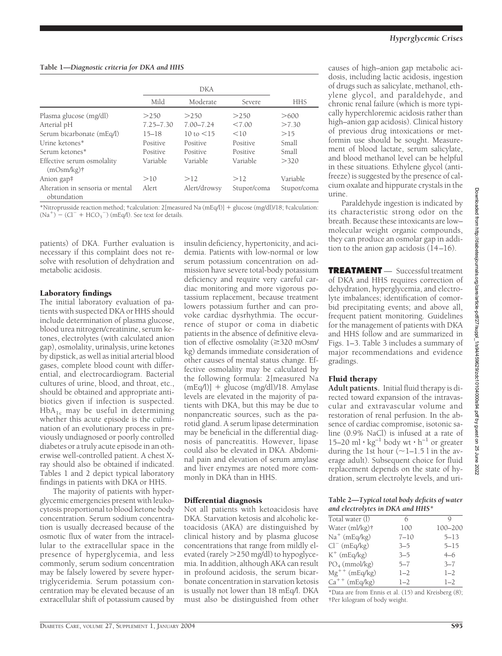## **Table 1—***Diagnostic criteria for DKA and HHS*

| Plasma glucose (mg/dl)<br>Arterial pH<br>Serum bicarbonate (mEq/l) | Mild            | Moderate            | <b>Severe</b>   | <b>HHS</b>  |  |
|--------------------------------------------------------------------|-----------------|---------------------|-----------------|-------------|--|
|                                                                    | >250            | >250                | >250            | >600        |  |
|                                                                    | $7.25 - 7.30$   | $7.00 - 7.24$       | < 7.00          | >7.30       |  |
|                                                                    | $15 - 18$       | $10 \text{ to } 15$ | <10             | >15         |  |
| Urine ketones*                                                     | Positive        | <b>Positive</b>     | <b>Positive</b> | Small       |  |
| Serum ketones*                                                     | <b>Positive</b> | <b>Positive</b>     | <b>Positive</b> | Small       |  |
| Effective serum osmolality<br>$(mOsm/kg)$ †                        | Variable        | Variable            | Variable        | >320        |  |
| Anion gap‡                                                         | >10             | >12                 | >12             | Variable    |  |
| Alteration in sensoria or mental<br>obtundation                    | Alert           | Alert/drowsy        | Stupor/coma     | Stupor/coma |  |

\*Nitroprusside reaction method; †calculation: 2[measured Na (mEq/l)] glucose (mg/dl)/18; ‡calculation:  $(Na^+)$  –  $(Cl^- + HCO_3^-)$  (mEq/l). See text for details.

patients) of DKA. Further evaluation is necessary if this complaint does not resolve with resolution of dehydration and metabolic acidosis.

# Laboratory findings

The initial laboratory evaluation of patients with suspected DKA or HHS should include determination of plasma glucose, blood urea nitrogen/creatinine, serum ketones, electrolytes (with calculated anion gap), osmolality, urinalysis, urine ketones by dipstick, as well as initial arterial blood gases, complete blood count with differential, and electrocardiogram. Bacterial cultures of urine, blood, and throat, etc., should be obtained and appropriate antibiotics given if infection is suspected.  $HbA_{1c}$  may be useful in determining whether this acute episode is the culmination of an evolutionary process in previously undiagnosed or poorly controlled diabetes or a truly acute episode in an otherwise well-controlled patient. A chest Xray should also be obtained if indicated. Tables 1 and 2 depict typical laboratory findings in patients with DKA or HHS.

The majority of patients with hyperglycemic emergencies present with leukocytosis proportional to blood ketone body concentration. Serum sodium concentration is usually decreased because of the osmotic flux of water from the intracellular to the extracellular space in the presence of hyperglycemia, and less commonly, serum sodium concentration may be falsely lowered by severe hypertriglyceridemia. Serum potassium concentration may be elevated because of an extracellular shift of potassium caused by

insulin deficiency, hypertonicity, and acidemia. Patients with low-normal or low serum potassium concentration on admission have severe total-body potassium deficiency and require very careful cardiac monitoring and more vigorous potassium replacement, because treatment lowers potassium further and can provoke cardiac dysrhythmia. The occurrence of stupor or coma in diabetic patients in the absence of definitive elevation of effective osmolality  $(\geq 320 \text{ mOsm/s})$ kg) demands immediate consideration of other causes of mental status change. Effective osmolality may be calculated by the following formula: 2[measured Na  $(mEq/l)$ ] + glucose  $(mg/dl)/18$ . Amylase levels are elevated in the majority of patients with DKA, but this may be due to nonpancreatic sources, such as the parotid gland. A serum lipase determination may be beneficial in the differential diagnosis of pancreatitis. However, lipase could also be elevated in DKA. Abdominal pain and elevation of serum amylase and liver enzymes are noted more commonly in DKA than in HHS.

## Differential diagnosis

Not all patients with ketoacidosis have DKA. Starvation ketosis and alcoholic ketoacidosis (AKA) are distinguished by clinical history and by plasma glucose concentrations that range from mildly elevated (rarely 250 mg/dl) to hypoglycemia. In addition, although AKA can result in profound acidosis, the serum bicarbonate concentration in starvation ketosis is usually not lower than 18 mEq/l. DKA must also be distinguished from other causes of high–anion gap metabolic acidosis, including lactic acidosis, ingestion of drugs such as salicylate, methanol, ethylene glycol, and paraldehyde, and chronic renal failure (which is more typically hyperchloremic acidosis rather than high–anion gap acidosis). Clinical history of previous drug intoxications or metformin use should be sought. Measurement of blood lactate, serum salicylate, and blood methanol level can be helpful in these situations. Ethylene glycol (antifreeze) is suggested by the presence of calcium oxalate and hippurate crystals in the urine.

Paraldehyde ingestion is indicated by its characteristic strong odor on the breath. Because these intoxicants are low– molecular weight organic compounds, they can produce an osmolar gap in addition to the anion gap acidosis (14–16).

**TREATMENT** — Successful treatment of DKA and HHS requires correction of dehydration, hyperglycemia, and electrolyte imbalances; identification of comorbid precipitating events; and above all, frequent patient monitoring. Guidelines for the management of patients with DKA and HHS follow and are summarized in Figs. 1–3. Table 3 includes a summary of major recommendations and evidence gradings.

## Fluid therapy

**Adult patients.** Initial fluid therapy is directed toward expansion of the intravascular and extravascular volume and restoration of renal perfusion. In the absence of cardiac compromise, isotonic saline (0.9% NaCl) is infused at a rate of 15–20 ml ·  $kg^{-1}$  body wt ·  $h^{-1}$  or greater during the 1st hour  $(\sim]1-1.5$  l in the average adult). Subsequent choice for fluid replacement depends on the state of hydration, serum electrolyte levels, and uri-

| Table 2—Typical total body deficits of water |  |
|----------------------------------------------|--|
| and electrolytes in DKA and HHS*             |  |

| Total water (l)    | 6        | Q,       |
|--------------------|----------|----------|
| Water (ml/kg)†     | 100      | 100-200  |
| $Na^+$ (mEq/kg)    | $7 - 10$ | $5 - 13$ |
| $Cl^{-}$ (mEq/kg)  | $3 - 5$  | $5 - 15$ |
| $K^+$ (mEq/kg)     | $3 - 5$  | $4 - 6$  |
| $PO_4$ (mmol/kg)   | $5 - 7$  | $3 - 7$  |
| $Mg^{++}$ (mEq/kg) | $1 - 2$  | $1 - 2$  |
| $Ca^{++}$ (mEq/kg) | $1 - 2$  | $1 - 2$  |

\*Data are from Ennis et al. (15) and Kreisberg (8); †Per kilogram of body weight.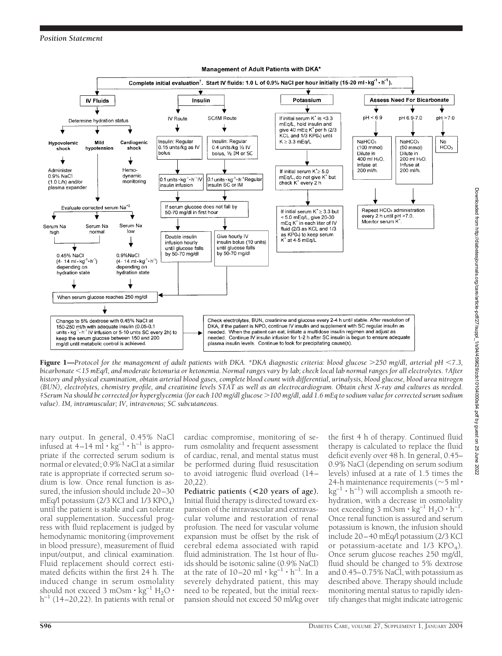

Figure 1—*Protocol for the management of adult patients with DKA. \*DKA diagnostic criteria: blood glucose 250 mg/dl, arterial pH 7.3, bicarbonate 15 mEq/l, and moderate ketonuria or ketonemia. Normal ranges vary by lab; check local lab normal ranges for all electrolytes. †After history and physical examination, obtain arterial blood gases, complete blood count with differential, urinalysis, blood glucose, blood urea nitrogen (BUN), electrolytes, chemistry profile, and creatinine levels STAT as well as an electrocardiogram. Obtain chest X-ray and cultures as needed. ‡Serum Na should be corrected for hyperglycemia (for each 100 mg/dl glucose 100 mg/dl, add 1.6 mEq to sodium value for corrected serum sodium value). IM, intramuscular; IV, intravenous; SC subcutaneous.*

nary output. In general, 0.45% NaCl infused at  $4-14$  ml  $\cdot$  kg<sup>-1</sup>  $\cdot$  h<sup>-1</sup> is appropriate if the corrected serum sodium is normal or elevated; 0.9% NaCl at a similar rate is appropriate if corrected serum sodium is low. Once renal function is assured, the infusion should include 20–30 mEq/l potassium (2/3 KCl and 1/3 KPO<sub>4</sub>) until the patient is stable and can tolerate oral supplementation. Successful progress with fluid replacement is judged by hemodynamic monitoring (improvement in blood pressure), measurement of fluid input/output, and clinical examination. Fluid replacement should correct estimated deficits within the first 24 h. The induced change in serum osmolality should not exceed  $3 \text{ mOsm} \cdot \text{kg}^{-1} \text{ H}_2\text{O} \cdot$  $h^{-1}$  (14–20,22). In patients with renal or cardiac compromise, monitoring of serum osmolality and frequent assessment of cardiac, renal, and mental status must be performed during fluid resuscitation to avoid iatrogenic fluid overload (14– 20,22).

**Pediatric patients (<20 years of age).** Initial fluid therapy is directed toward expansion of the intravascular and extravascular volume and restoration of renal profusion. The need for vascular volume expansion must be offset by the risk of cerebral edema associated with rapid fluid administration. The 1st hour of fluids should be isotonic saline (0.9% NaCl) at the rate of 10–20 ml  $\cdot$  kg $^{-1}$   $\cdot$  h $^{-1}$ . In a severely dehydrated patient, this may need to be repeated, but the initial reexpansion should not exceed 50 ml/kg over

the first 4 h of therapy. Continued fluid therapy is calculated to replace the fluid deficit evenly over 48 h. In general, 0.45– 0.9% NaCl (depending on serum sodium levels) infused at a rate of 1.5 times the 24-h maintenance requirements ( $\sim$ 5 ml·  $\text{kg}^{-1} \cdot \text{h}^{-1}$ ) will accomplish a smooth rehydration, with a decrease in osmolality not exceeding  $3 \text{ mOsm} \cdot \text{kg}^{-1} \text{ H}_2\text{O} \cdot \text{h}^{-1}$ . Once renal function is assured and serum potassium is known, the infusion should include 20–40 mEq/l potassium (2/3 KCl or potassium-acetate and  $1/3$  KPO<sub>4</sub>). Once serum glucose reaches 250 mg/dl, fluid should be changed to 5% dextrose and 0.45–0.75% NaCl, with potassium as described above. Therapy should include monitoring mental status to rapidly identify changes that might indicate iatrogenic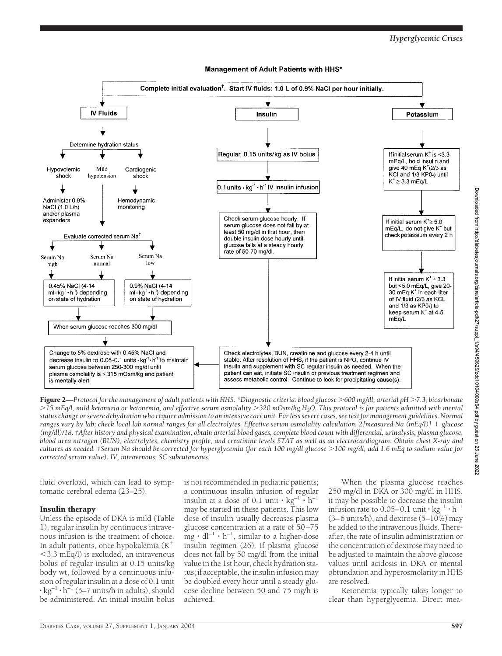

#### Management of Adult Patients with HHS\*

Figure 2—*Protocol for the management of adult patients with HHS. \*Diagnostic criteria: blood glucose 600 mg/dl, arterial pH 7.3, bicarbonate 15 mEq/l, mild ketonuria or ketonemia, and effective serum osmolality 320 mOsm/kg H2O. This protocol is for patients admitted with mental status change or severe dehydration who require admission to an intensive care unit. For less severe cases, see text for management guidelines. Normal ranges vary by lab; check local lab normal ranges for all electrolytes. Effective serum osmolality calculation: 2[measured Na (mEq/l)] glucose (mg/dl)/18. †After history and physical examination, obtain arterial blood gases, complete blood count with differential, urinalysis, plasma glucose, blood urea nitrogen (BUN), electrolytes, chemistry profile, and creatinine levels STAT as well as an electrocardiogram. Obtain chest X-ray and cultures as needed. ‡Serum Na should be corrected for hyperglycemia (for each 100 mg/dl glucose 100 mg/dl, add 1.6 mEq to sodium value for corrected serum value). IV, intravenous; SC subcutaneous.*

fluid overload, which can lead to symptomatic cerebral edema (23–25).

#### Insulin therapy

Unless the episode of DKA is mild (Table 1), regular insulin by continuous intravenous infusion is the treatment of choice. In adult patients, once hypokalemia (K 3.3 mEq/l) is excluded, an intravenous bolus of regular insulin at 0.15 units/kg body wt, followed by a continuous infusion of regular insulin at a dose of 0.1 unit  $\cdot \text{ kg}^{-1} \cdot \text{h}^{-1}$  (5–7 units/h in adults), should be administered. An initial insulin bolus is not recommended in pediatric patients; a continuous insulin infusion of regular insulin at a dose of 0.1 unit  $\cdot$  kg<sup>-1</sup>  $\cdot$  h<sup>-1</sup> may be started in these patients. This low dose of insulin usually decreases plasma glucose concentration at a rate of 50–75  $\overline{\mathrm{mg}} \cdot \mathrm{dl}^{-1} \cdot \mathrm{h}^{-1}$ , similar to a higher-dose insulin regimen (26). If plasma glucose does not fall by 50 mg/dl from the initial value in the 1st hour, check hydration status; if acceptable, the insulin infusion may be doubled every hour until a steady glucose decline between 50 and 75 mg/h is achieved.

When the plasma glucose reaches 250 mg/dl in DKA or 300 mg/dl in HHS, it may be possible to decrease the insulin infusion rate to 0.05–0.1 unit  $\cdot$  kg<sup>-1</sup>  $\cdot$  h<sup>-1</sup> (3–6 units/h), and dextrose (5–10%) may be added to the intravenous fluids. Thereafter, the rate of insulin administration or the concentration of dextrose may need to be adjusted to maintain the above glucose values until acidosis in DKA or mental obtundation and hyperosmolarity in HHS are resolved.

Ketonemia typically takes longer to clear than hyperglycemia. Direct mea-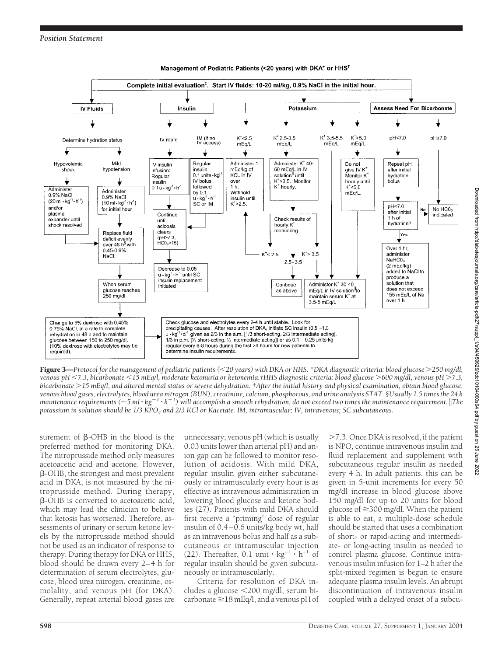

Management of Pediatric Patients (<20 years) with DKA\* or HHST

Figure 3—*Protocol for the management of pediatric patients (20 years) with DKA or HHS. \*DKA diagnostic criteria: blood glucose 250 mg/dl, venous pH 7.3, bicarbonate 15 mEq/l, moderate ketonuria or ketonemia.†HHS diagnostic criteria: blood glucose 600 mg/dl, venous pH 7.3, bicarbonate 15 mEq/l, and altered mental status or severe dehydration. ‡After the initial history and physical examination, obtain blood glucose, venous blood gases, electrolytes, blood urea nitrogen (BUN), creatinine, calcium, phosphorous, and urine analysis STAT. §Usually 1.5 times the 24 h maintenance requirements (*-*5 ml* - *kg<sup>1</sup>* - *h<sup>1</sup> ) will accomplish a smooth rehydration; do not exceed two times the maintenance requirement. The potassium in solution should be 1/3 KPO4 and 2/3 KCl or Kacetate. IM, intramuscular; IV, intravenous; SC subcutaneous.*

surement of  $\beta$ -OHB in the blood is the preferred method for monitoring DKA. The nitroprusside method only measures acetoacetic acid and acetone. However, -OHB, the strongest and most prevalent acid in DKA, is not measured by the nitroprusside method. During therapy, -OHB is converted to acetoacetic acid, which may lead the clinician to believe that ketosis has worsened. Therefore, assessments of urinary or serum ketone levels by the nitroprusside method should not be used as an indicator of response to therapy. During therapy for DKA or HHS, blood should be drawn every 2–4 h for determination of serum electrolytes, glucose, blood urea nitrogen, creatinine, osmolality, and venous pH (for DKA). Generally, repeat arterial blood gases are

unnecessary; venous pH (which is usually 0.03 units lower than arterial pH) and anion gap can be followed to monitor resolution of acidosis. With mild DKA, regular insulin given either subcutaneously or intramuscularly every hour is as effective as intravenous administration in lowering blood glucose and ketone bodies (27). Patients with mild DKA should first receive a "priming" dose of regular insulin of 0.4–0.6 units/kg body wt, half as an intravenous bolus and half as a subcutaneous or intramuscular injection (22). Thereafter, 0.1 unit  $\cdot$  kg<sup>-1</sup>  $\cdot$  h<sup>-1</sup> of regular insulin should be given subcutaneously or intramuscularly.

Criteria for resolution of DKA includes a glucose 200 mg/dl, serum bicarbonate  $\geq$  18 mEq/l, and a venous pH of

7.3. Once DKA is resolved, if the patient is NPO, continue intravenous insulin and fluid replacement and supplement with subcutaneous regular insulin as needed every 4 h. In adult patients, this can be given in 5-unit increments for every 50 mg/dl increase in blood glucose above 150 mg/dl for up to 20 units for blood glucose of  $\geq$  300 mg/dl. When the patient is able to eat, a multiple-dose schedule should be started that uses a combination of short- or rapid-acting and intermediate- or long-acting insulin as needed to control plasma glucose. Continue intravenous insulin infusion for 1–2 h after the split-mixed regimen is begun to ensure adequate plasma insulin levels. An abrupt discontinuation of intravenous insulin coupled with a delayed onset of a subcu-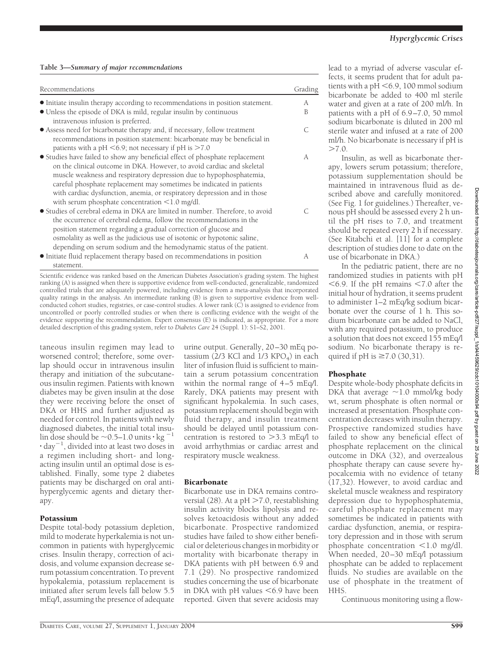## **Table 3—***Summary of major recommendations*

| Recommendations                                                                                                                                                                                                                                                                                                                                                                                                                           | Grading |
|-------------------------------------------------------------------------------------------------------------------------------------------------------------------------------------------------------------------------------------------------------------------------------------------------------------------------------------------------------------------------------------------------------------------------------------------|---------|
| • Initiate insulin therapy according to recommendations in position statement.                                                                                                                                                                                                                                                                                                                                                            | A       |
| • Unless the episode of DKA is mild, regular insulin by continuous<br>intravenous infusion is preferred.                                                                                                                                                                                                                                                                                                                                  | B       |
| • Assess need for bicarbonate therapy and, if necessary, follow treatment<br>recommendations in position statement: bicarbonate may be beneficial in<br>patients with a pH $\leq$ 6.9; not necessary if pH is $>$ 7.0                                                                                                                                                                                                                     |         |
| • Studies have failed to show any beneficial effect of phosphate replacement<br>on the clinical outcome in DKA. However, to avoid cardiac and skeletal<br>muscle weakness and respiratory depression due to hypophosphatemia,<br>careful phosphate replacement may sometimes be indicated in patients<br>with cardiac dysfunction, anemia, or respiratory depression and in those<br>with serum phosphate concentration $\leq 1.0$ mg/dl. | A       |
| • Studies of cerebral edema in DKA are limited in number. Therefore, to avoid<br>the occurrence of cerebral edema, follow the recommendations in the<br>position statement regarding a gradual correction of glucose and<br>osmolality as well as the judicious use of isotonic or hypotonic saline,<br>depending on serum sodium and the hemodynamic status of the patient.                                                              |         |
| • Initiate fluid replacement therapy based on recommendations in position<br>statement.                                                                                                                                                                                                                                                                                                                                                   | A       |

Scientific evidence was ranked based on the American Diabetes Association's grading system. The highest ranking (A) is assigned when there is supportive evidence from well-conducted, generalizable, randomized controlled trials that are adequately powered, including evidence from a meta-analysis that incorporated quality ratings in the analysis. An intermediate ranking (B) is given to supportive evidence from wellconducted cohort studies, registries, or case-control studies. A lower rank (C) is assigned to evidence from uncontrolled or poorly controlled studies or when there is conflicting evidence with the weight of the evidence supporting the recommendation. Expert consensus (E) is indicated, as appropriate. For a more detailed description of this grading system, refer to *Diabetes Care* 24 (Suppl. 1): S1-S2, 2001.

taneous insulin regimen may lead to worsened control; therefore, some overlap should occur in intravenous insulin therapy and initiation of the subcutaneous insulin regimen. Patients with known diabetes may be given insulin at the dose they were receiving before the onset of DKA or HHS and further adjusted as needed for control. In patients with newly diagnosed diabetes, the initial total insulin dose should be  ${\sim}$  0.5–1.0 units  $\cdot$  kg  $^{-1}$  $\cdot$  day<sup>-1</sup>, divided into at least two doses in a regimen including short- and longacting insulin until an optimal dose is established. Finally, some type 2 diabetes patients may be discharged on oral antihyperglycemic agents and dietary therapy.

## Potassium

Despite total-body potassium depletion, mild to moderate hyperkalemia is not uncommon in patients with hyperglycemic crises. Insulin therapy, correction of acidosis, and volume expansion decrease serum potassium concentration. To prevent hypokalemia, potassium replacement is initiated after serum levels fall below 5.5 mEq/l, assuming the presence of adequate

urine output. Generally, 20–30 mEq potassium (2/3 KCl and  $1/3$  KPO<sub>4</sub>) in each liter of infusion fluid is sufficient to maintain a serum potassium concentration within the normal range of 4–5 mEq/l. Rarely, DKA patients may present with significant hypokalemia. In such cases, potassium replacement should begin with fluid therapy, and insulin treatment should be delayed until potassium concentration is restored to  $>3.3$  mEq $/1$  to avoid arrhythmias or cardiac arrest and respiratory muscle weakness.

## **Bicarhonate**

Bicarbonate use in DKA remains controversial (28). At a pH  $>$  7.0, reestablishing insulin activity blocks lipolysis and resolves ketoacidosis without any added bicarbonate. Prospective randomized studies have failed to show either beneficial or deleterious changes in morbidity or mortality with bicarbonate therapy in DKA patients with pH between 6.9 and 7.1 (29). No prospective randomized studies concerning the use of bicarbonate in DKA with pH values  $<$  6.9 have been reported. Given that severe acidosis may

lead to a myriad of adverse vascular effects, it seems prudent that for adult patients with a  $pH < 6.9$ , 100 mmol sodium bicarbonate be added to 400 ml sterile water and given at a rate of 200 ml/h. In patients with a pH of 6.9–7.0, 50 mmol sodium bicarbonate is diluted in 200 ml sterile water and infused at a rate of 200 ml/h. No bicarbonate is necessary if pH is  $>7.0$ .

Insulin, as well as bicarbonate therapy, lowers serum potassium; therefore, potassium supplementation should be maintained in intravenous fluid as described above and carefully monitored. (See Fig. 1 for guidelines.) Thereafter, venous pH should be assessed every 2 h until the pH rises to 7.0, and treatment should be repeated every 2 h if necessary. (See Kitabchi et al. [11] for a complete description of studies done to date on the use of bicarbonate in DKA.)

In the pediatric patient, there are no randomized studies in patients with pH  $<$  6.9. If the pH remains  $<$  7.0 after the initial hour of hydration, it seems prudent to administer 1–2 mEq/kg sodium bicarbonate over the course of 1 h. This sodium bicarbonate can be added to NaCl, with any required potassium, to produce a solution that does not exceed 155 mEq/l sodium. No bicarbonate therapy is required if pH is  $\geq$  7.0 (30,31).

## Phosphate

Despite whole-body phosphate deficits in DKA that average  $\sim$  1.0 mmol/kg body wt, serum phosphate is often normal or increased at presentation. Phosphate concentration decreases with insulin therapy. Prospective randomized studies have failed to show any beneficial effect of phosphate replacement on the clinical outcome in DKA (32), and overzealous phosphate therapy can cause severe hypocalcemia with no evidence of tetany  $(17,32)$ . However, to avoid cardiac and skeletal muscle weakness and respiratory depression due to hypophosphatemia, careful phosphate replacement may sometimes be indicated in patients with cardiac dysfunction, anemia, or respiratory depression and in those with serum phosphate concentration  $\leq 1.0$  mg/dl. When needed, 20–30 mEq/l potassium phosphate can be added to replacement fluids. No studies are available on the use of phosphate in the treatment of HHS.

Continuous monitoring using a flow-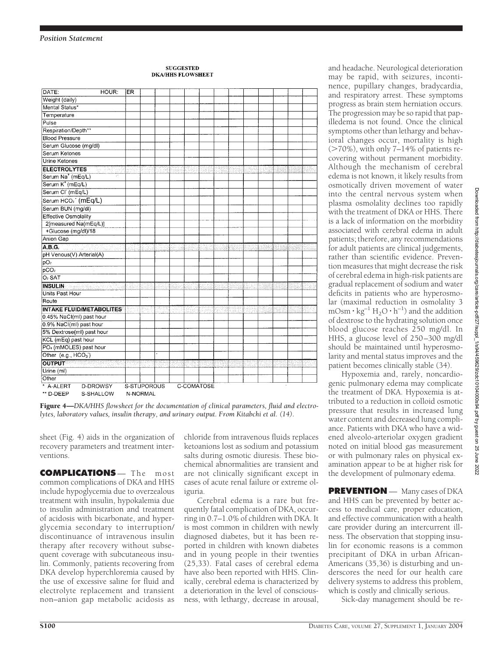**SUGGESTED DKA/HHS FLOWSHEET** 

| DATE:<br>HOUR:                              | lER         |  |  |            |  |  |  |  |
|---------------------------------------------|-------------|--|--|------------|--|--|--|--|
| Weight (daily)                              |             |  |  |            |  |  |  |  |
| Mental Status*                              |             |  |  |            |  |  |  |  |
| Temperature                                 |             |  |  |            |  |  |  |  |
| Pulse                                       |             |  |  |            |  |  |  |  |
| Respiration/Depth**                         |             |  |  |            |  |  |  |  |
| <b>Blood Pressure</b>                       |             |  |  |            |  |  |  |  |
| Serum Glucose (mg/dl)                       |             |  |  |            |  |  |  |  |
| Serum Ketones                               |             |  |  |            |  |  |  |  |
| Urine Ketones                               |             |  |  |            |  |  |  |  |
| <b>ELECTROLYTES</b>                         |             |  |  |            |  |  |  |  |
| Serum Na <sup>+</sup> (mEq/L)               |             |  |  |            |  |  |  |  |
| Serum K <sup>+</sup> (mEq/L)                |             |  |  |            |  |  |  |  |
| Serum Cl (mEq/L)                            |             |  |  |            |  |  |  |  |
| Serum HCO <sub>3</sub> <sup>-</sup> (mEq/L) |             |  |  |            |  |  |  |  |
| Serum BUN (mg/dl)                           |             |  |  |            |  |  |  |  |
| <b>Effective Osmolality</b>                 |             |  |  |            |  |  |  |  |
| 2[measured Na(mEq/L)]                       |             |  |  |            |  |  |  |  |
| +Glucose (mg/dl)/18                         |             |  |  |            |  |  |  |  |
| Anion Gap                                   |             |  |  |            |  |  |  |  |
| A.B.G.                                      |             |  |  |            |  |  |  |  |
| pH Venous(V) Arterial(A)                    |             |  |  |            |  |  |  |  |
| DO <sub>2</sub>                             |             |  |  |            |  |  |  |  |
| DCO <sub>2</sub>                            |             |  |  |            |  |  |  |  |
| O <sub>2</sub> SAT                          |             |  |  |            |  |  |  |  |
| <b>INSULIN</b><br>dadidi                    |             |  |  |            |  |  |  |  |
| Units Past Hour                             |             |  |  |            |  |  |  |  |
| Route                                       |             |  |  |            |  |  |  |  |
| <b>INTAKE FLUID/METABOLITES</b>             |             |  |  |            |  |  |  |  |
| 0.45% NaCl(ml) past hour                    |             |  |  |            |  |  |  |  |
| 0.9% NaCl(ml) past hour                     |             |  |  |            |  |  |  |  |
| 5% Dextrose(ml) past hour                   |             |  |  |            |  |  |  |  |
| KCL (mEq) past hour                         |             |  |  |            |  |  |  |  |
| PO <sub>4</sub> (mMOLES) past hour          |             |  |  |            |  |  |  |  |
| Other (e.g., HCO <sub>3</sub> )             |             |  |  |            |  |  |  |  |
| <b>OUTPUT</b>                               |             |  |  |            |  |  |  |  |
| Urine (ml)                                  |             |  |  |            |  |  |  |  |
| Other                                       |             |  |  |            |  |  |  |  |
| * A-ALERT<br>D-DROWSY                       | S-STUPOROUS |  |  | C-COMATOSE |  |  |  |  |
| $*$ D.DEEP<br>SSHALLOW NUMBRAL              |             |  |  |            |  |  |  |  |

Figure 4—*DKA/HHS flowsheet for the documentation of clinical parameters, fluid and electrolytes, laboratory values, insulin therapy, and urinary output. From Kitabchi et al. (14).*

sheet (Fig. 4) aids in the organization of recovery parameters and treatment interventions.

**COMPLICATIONS** — The most common complications of DKA and HHS include hypoglycemia due to overzealous treatment with insulin, hypokalemia due to insulin administration and treatment of acidosis with bicarbonate, and hyperglycemia secondary to interruption/ discontinuance of intravenous insulin therapy after recovery without subsequent coverage with subcutaneous insulin. Commonly, patients recovering from DKA develop hyperchloremia caused by the use of excessive saline for fluid and electrolyte replacement and transient non–anion gap metabolic acidosis as

chloride from intravenous fluids replaces ketoanions lost as sodium and potassium salts during osmotic diuresis. These biochemical abnormalities are transient and are not clinically significant except in cases of acute renal failure or extreme oliguria.

Cerebral edema is a rare but frequently fatal complication of DKA, occurring in 0.7–1.0% of children with DKA. It is most common in children with newly diagnosed diabetes, but it has been reported in children with known diabetes and in young people in their twenties (25,33). Fatal cases of cerebral edema have also been reported with HHS. Clinically, cerebral edema is characterized by a deterioration in the level of consciousness, with lethargy, decrease in arousal,

and headache. Neurological deterioration may be rapid, with seizures, incontinence, pupillary changes, bradycardia, and respiratory arrest. These symptoms progress as brain stem herniation occurs. The progression may be so rapid that papilledema is not found. Once the clinical symptoms other than lethargy and behavioral changes occur, mortality is high  $($ >70%), with only 7–14% of patients recovering without permanent morbidity. Although the mechanism of cerebral edema is not known, it likely results from osmotically driven movement of water into the central nervous system when plasma osmolality declines too rapidly with the treatment of DKA or HHS. There is a lack of information on the morbidity associated with cerebral edema in adult patients; therefore, any recommendations for adult patients are clinical judgements, rather than scientific evidence. Prevention measures that might decrease the risk of cerebral edema in high-risk patients are gradual replacement of sodium and water deficits in patients who are hyperosmolar (maximal reduction in osmolality 3 mOsm  $\cdot$  kg<sup>-1</sup> H<sub>2</sub>O  $\cdot$  h<sup>-1</sup>) and the addition of dextrose to the hydrating solution once blood glucose reaches 250 mg/dl. In HHS, a glucose level of 250–300 mg/dl should be maintained until hyperosmolarity and mental status improves and the patient becomes clinically stable (34).

Hypoxemia and, rarely, noncardiogenic pulmonary edema may complicate the treatment of DKA. Hypoxemia is attributed to a reduction in colloid osmotic pressure that results in increased lung water content and decreased lung compliance. Patients with DKA who have a widened alveolo-arteriolar oxygen gradient noted on initial blood gas measurement or with pulmonary rales on physical examination appear to be at higher risk for the development of pulmonary edema.

**PREVENTION** — Many cases of DKA and HHS can be prevented by better access to medical care, proper education, and effective communication with a health care provider during an intercurrent illness. The observation that stopping insulin for economic reasons is a common precipitant of DKA in urban African-Americans (35,36) is disturbing and underscores the need for our health care delivery systems to address this problem, which is costly and clinically serious.

Sick-day management should be re-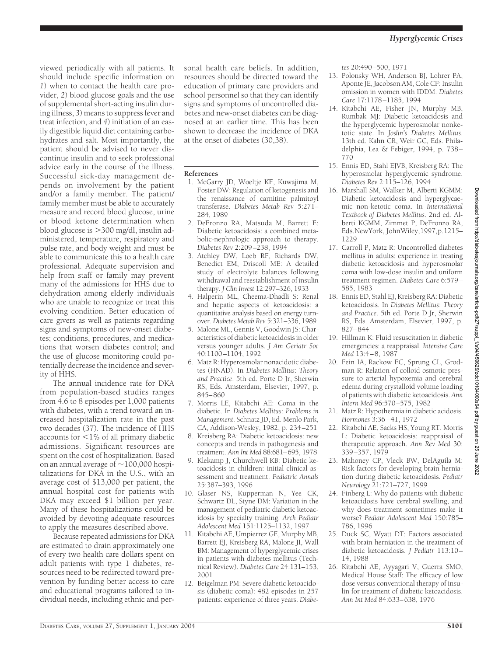viewed periodically with all patients. It should include specific information on *1*) when to contact the health care provider, *2*) blood glucose goals and the use of supplemental short-acting insulin during illness, *3*) means to suppress fever and treat infection, and *4*) initiation of an easily digestible liquid diet containing carbohydrates and salt. Most importantly, the patient should be advised to never discontinue insulin and to seek professional advice early in the course of the illness. Successful sick-day management depends on involvement by the patient and/or a family member. The patient/ family member must be able to accurately measure and record blood glucose, urine or blood ketone determination when blood glucose is 300 mg/dl, insulin administered, temperature, respiratory and pulse rate, and body weight and must be able to communicate this to a health care professional. Adequate supervision and help from staff or family may prevent many of the admissions for HHS due to dehydration among elderly individuals who are unable to recognize or treat this evolving condition. Better education of care givers as well as patients regarding signs and symptoms of new-onset diabetes; conditions, procedures, and medications that worsen diabetes control; and the use of glucose monitoring could potentially decrease the incidence and severity of HHS.

The annual incidence rate for DKA from population-based studies ranges from 4.6 to 8 episodes per 1,000 patients with diabetes, with a trend toward an increased hospitalization rate in the past two decades (37). The incidence of HHS accounts for  $<$  1% of all primary diabetic admissions. Significant resources are spent on the cost of hospitalization. Based on an annual average of  $\sim$  100,000 hospitalizations for DKA in the U.S., with an average cost of \$13,000 per patient, the annual hospital cost for patients with DKA may exceed \$1 billion per year. Many of these hospitalizations could be avoided by devoting adequate resources to apply the measures described above.

Because repeated admissions for DKA are estimated to drain approximately one of every two health care dollars spent on adult patients with type 1 diabetes, resources need to be redirected toward prevention by funding better access to care and educational programs tailored to individual needs, including ethnic and per-

sonal health care beliefs. In addition, resources should be directed toward the education of primary care providers and school personnel so that they can identify signs and symptoms of uncontrolled diabetes and new-onset diabetes can be diagnosed at an earlier time. This has been shown to decrease the incidence of DKA at the onset of diabetes (30,38).

#### **References**

- 1. McGarry JD, Woeltje KF, Kuwajima M, Foster DW: Regulation of ketogenesis and the renaissance of carnitine palmitoyl transferase. *Diabetes Metab Rev* 5:271– 284, 1989
- 2. DeFronzo RA, Matsuda M, Barrett E: Diabetic ketoacidosis: a combined metabolic-nephrologic approach to therapy. *Diabetes Rev* 2:209–238, 1994
- 3. Atchley DW, Loeb RF, Richards DW, Benedict EM, Driscoll ME: A detailed study of electrolyte balances following withdrawal and reestablishment of insulin therapy. *J Clin Invest* 12:297–326, 1933
- 4. Halperin ML, Cheema-Dhadli S: Renal and hepatic aspects of ketoacidosis: a quantitative analysis based on energy turnover. *Diabetes Metab Rev* 5:321–336, 1989
- 5. Malone ML, Gennis V, Goodwin JS: Characteristics of diabetic ketoacidosis in older versus younger adults. *J Am Geriatr Soc* 40:1100–1104, 1992
- 6. Matz R: Hyperosmolar nonacidotic diabetes (HNAD). In *Diabetes Mellitus*: *Theory and Practice*. 5th ed. Porte D Jr, Sherwin RS, Eds. Amsterdam, Elsevier, 1997, p. 845–860
- 7. Morris LE, Kitabchi AE: Coma in the diabetic. In *Diabetes Mellitus*: *Problems in Management*. Schnatz JD, Ed. Menlo Park, CA, Addison-Wesley, 1982, p. 234–251
- 8. Kreisberg RA: Diabetic ketoacidosis: new concepts and trends in pathogenesis and treatment. *Ann Int Med* 88:681–695, 1978
- 9. Klekamp J, Churchwell KB: Diabetic ketoacidosis in children: initial clinical assessment and treatment. *Pediatric Annals* 25:387–393, 1996
- 10. Glaser NS, Kupperman N, Yee CK, Schwartz DL, Styne DM: Variation in the management of pediatric diabetic ketoacidosis by specialty training. *Arch Pediatr Adolescent Med* 151:1125–1132, 1997
- 11. Kitabchi AE, Umpierrez GE, Murphy MB, Barrett EJ, Kreisberg RA, Malone JI, Wall BM: Management of hyperglycemic crises in patients with diabetes mellitus (Technical Review). *Diabetes Care* 24:131–153, 2001
- 12. Beigelman PM: Severe diabetic ketoacidosis (diabetic coma): 482 episodes in 257 patients: experience of three years. *Diabe-*

*tes* 20:490–500, 1971

- 13. Polonsky WH, Anderson BJ, Lohrer PA, Aponte JE, Jacobson AM, Cole CF: Insulin omission in women with IDDM. *Diabetes Care* 17:1178–1185, 1994
- 14. Kitabchi AE, Fisher JN, Murphy MB, Rumbak MJ: Diabetic ketoacidosis and the hyperglycemic hyperosmolar nonketotic state. In *Joslin's Diabetes Mellitus*. 13th ed. Kahn CR, Weir GC, Eds. Philadelphia, Lea & Febiger, 1994, p. 738– 770
- 15. Ennis ED, Stahl EJVB, Kreisberg RA: The hyperosmolar hyperglycemic syndrome. *Diabetes Rev* 2:115–126, 1994
- 16. Marshall SM, Walker M, Alberti KGMM: Diabetic ketoacidosis and hyperglycaemic non-ketotic coma. In *International Textbook of Diabetes Mellitus*. 2nd ed. Alberti KGMM, Zimmet P, DeFronzo RA, Eds.NewYork, JohnWiley,1997,p.1215– 1229
- 17. Carroll P, Matz R: Uncontrolled diabetes mellitus in adults: experience in treating diabetic ketoacidosis and hyperosmolar coma with low-dose insulin and uniform treatment regimen. *Diabetes Care* 6:579– 585, 1983
- 18. Ennis ED, Stahl EJ, Kreisberg RA: Diabetic ketoacidosis. In *Diabetes Mellitus*: *Theory and Practice*. 5th ed. Porte D Jr, Sherwin RS, Eds. Amsterdam, Elsevier, 1997, p. 827–844
- 19. Hillman K: Fluid resuscitation in diabetic emergencies: a reappraisal. *Intensive Care Med* 13:4–8, 1987
- 20. Fein IA, Rackow EC, Sprung CL, Grodman R: Relation of colloid osmotic pressure to arterial hypoxemia and cerebral edema during crystalloid volume loading of patients with diabetic ketoacidosis. *Ann Intern Med* 96:570–575, 1982
- 21. Matz R: Hypothermia in diabetic acidosis. *Hormones* 3:36–41, 1972
- 22. Kitabchi AE, Sacks HS, Young RT, Morris L: Diabetic ketoacidosis: reappraisal of therapeutic approach. *Ann Rev Med* 30: 339–357, 1979
- 23. Mahoney CP, Vleck BW, DelAguila M: Risk factors for developing brain herniation during diabetic ketoacidosis. *Pediatr Neurology* 21:721–727, 1999
- 24. Finberg L: Why do patients with diabetic ketoacidosis have cerebral swelling, and why does treatment sometimes make it worse? *Pediatr Adolescent Med* 150:785– 786, 1996
- 25. Duck SC, Wyatt DT: Factors associated with brain herniation in the treatment of diabetic ketoacidosis. *J Pediatr* 113:10– 14, 1988
- 26. Kitabchi AE, Ayyagari V, Guerra SMO, Medical House Staff: The efficacy of low dose versus conventional therapy of insulin for treatment of diabetic ketoacidosis. *Ann Int Med* 84:633–638, 1976